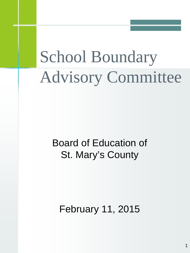# School Boundary Advisory Committee

# Board of Education of St. Mary's County

February 11, 2015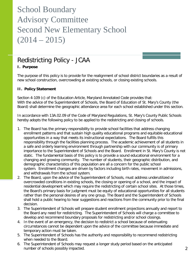### Redistricting Policy - JCAA

#### **I. Purpose**

The purpose of this policy is to provide for the realignment of school district boundaries as a result of new school construction, overcrowding at existing schools, or closing existing schools.

#### **II. Policy Statement**

Section 4-109 (c) of the Education Article, Maryland Annotated Code provides that: With the advice of the Superintendent of Schools, the Board of Education of St. Mary's County (the Board) shall determine the geographic attendance area for each school established under this section.

In accordance with 13A.02.09 of the Code of Maryland Regulations, St. Mary's County Public Schools hereby adopts the following policy to be applied to the redistricting and closing of schools.

- 1. The Board has the primary responsibility to provide school facilities that address changing enrollment patterns and that sustain high quality educational programs and equitable educational opportunities in a way that meets its instructional expectations. The Board fulfills this responsibility through the facilities planning process. The academic achievement of all students in a safe and orderly learning environment through partnership with our community is of primary importance to the Superintendent of Schools and the Board. Enrollment in St. Mary's County is not static. The fundamental basis of this policy is to provide a sound educational environment for a changing and growing community. The number of students, their geographic distribution, and demographic characteristics of this population are all a concern for the public school system. Enrollment changes are driven by factors including birth rates, movement in admissions, and withdrawals from the school system.
- 2. The Board, upon the advice of the Superintendent of Schools, must address underutilized or overcrowded conditions in existing schools, the closing or opening of a school, and the impact of residential development which may require the redistricting of certain school sites. At those times, the Board's primary basis for judgment must be equity of educational opportunities for all students rather than the personal desires of any one group. The Board and the Superintendent of Schools shall hold a public hearing to hear suggestions and reactions from the community prior to the final decision.
- 3. The Superintendent of Schools will prepare student enrollment projections annually and report to the Board any need for redistricting. The Superintendent of Schools will charge a committee to develop and recommend boundary proposals for redistricting and/or school closings.
- 4. In the event of an emergency, the decision to redistrict a school because of extenuating circumstances cannot be dependent upon the advice of the committee because immediate and temporary action must be taken.
- 5. The Superintendent of Schools has the authority and responsibility to recommend redistricting when needed to the Board.
- 6. The Superintendent of Schools may request a longer study period based on the anticipated number of schools possibly impacted.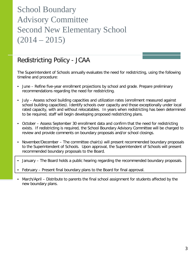#### Redistricting Policy - JCAA

The Superintendent of Schools annually evaluates the need for redistricting, using the following timeline and procedure:

- June Refine five-year enrollment projections by school and grade. Prepare preliminary recommendations regarding the need for redistricting.
- July Assess school building capacities and utilization rates (enrollment measured against school building capacities). Identify schools over capacity and those exceptionally under local rated capacity, with and without relocatables. In years when redistricting has been determined to be required, staff will begin developing proposed redistricting plans.
- October Assess September 30 enrollment data and confirm that the need for redistricting exists. If redistricting is required, the School Boundary Advisory Committee will be charged to review and provide comments on boundary proposals and/or school closings.
- November/December The committee chair(s) will present recommended boundary proposals to the Superintendent of Schools. Upon approval, the Superintendent of Schools will present recommended boundary proposals to the Board.
- January The Board holds a public hearing regarding the recommended boundary proposals.
- February Present final boundary plans to the Board for final approval.
- March/April Distribute to parents the final school assignment for students affected by the new boundary plans.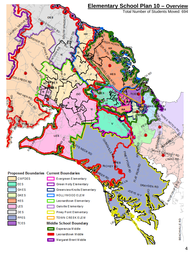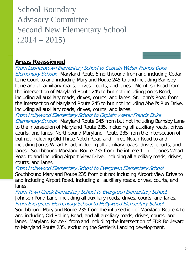#### **Areas Reassigned**

From Leonardtown Elementary School to Captain Walter Francis Duke Elementary School: Maryland Route 5 northbound from and including Cedar Lane Court to and including Maryland Route 245 to and including Barnsby Lane and all auxiliary roads, drives, courts, and lanes. McIntosh Road from the intersection of Maryland Route 245 to but not including Jones Road, including all auxiliary roads, drives, courts, and lanes. St. John's Road from the intersection of Maryland Route 245 to but not including Abell's Run Drive, including all auxiliary roads, drives, courts, and lanes.

From Hollywood Elementary School to Captain Walter Francis Duke

Elementary School: Maryland Route 245 from but not including Barnsby Lane to the intersection of Maryland Route 235, including all auxiliary roads, drives, courts, and lanes. Northbound Maryland Route 235 from the intersection of but not including Old Three Notch Road and Three Notch Road to and including Jones Wharf Road, including all auxiliary roads, drives, courts, and lanes. Southbound Maryland Route 235 from the intersection of Jones Wharf Road to and including Airport View Drive, including all auxiliary roads, drives, courts, and lanes.

From Hollywood Elementary School to Evergreen Elementary School:

Southbound Maryland Route 235 from but not including Airport View Drive to and including Airport Road, including all auxiliary roads, drives, courts, and lanes.

From Town Creek Elementary School to Evergreen Elementary School: Johnson Pond Lane, including all auxiliary roads, drives, courts, and lanes. From Evergreen Elementary School to Hollywood Elementary School: Southbound Maryland Route 235 from the intersection of Maryland Route 4 to and including Old Rolling Road, and all auxiliary roads, drives, courts, and lanes. Maryland Route 4 from and including the intersection of FDR Boulevard to Maryland Route 235, excluding the Settler's Landing development.